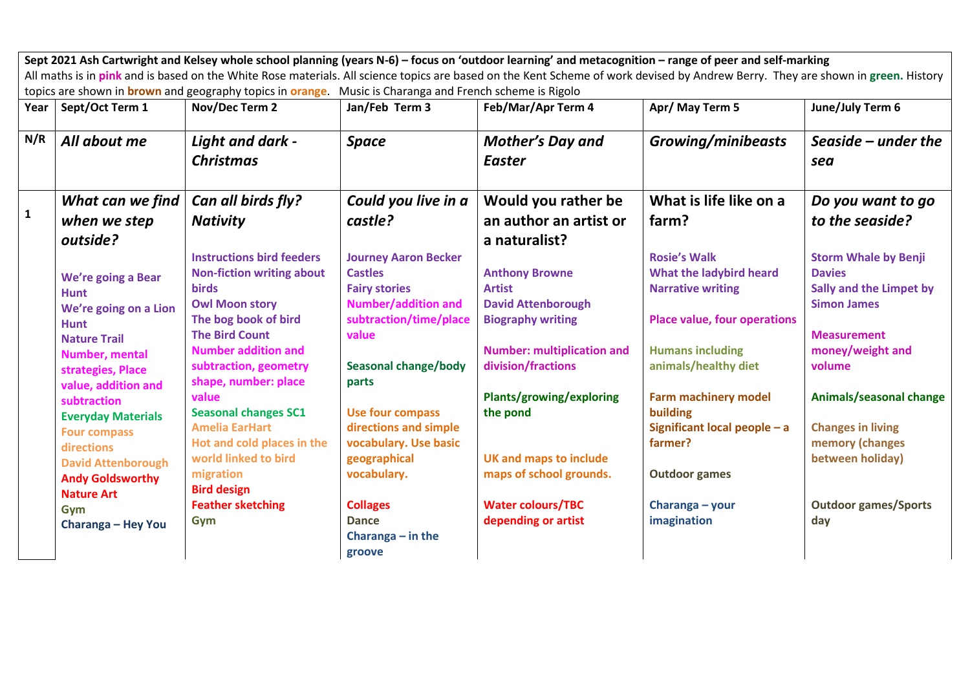|              | Sept 2021 Ash Cartwright and Kelsey whole school planning (years N-6) - focus on 'outdoor learning' and metacognition - range of peer and self-marking<br>All maths is in pink and is based on the White Rose materials. All science topics are based on the Kent Scheme of work devised by Andrew Berry. They are shown in green. History |                                                                                                                                                                                                                                                                                                                                                                                   |                                                                                                                                                                                                                                                                                            |                                                                                                                                                                                                                                                                                 |                                                                                                                                                                                                                                                                                    |                                                                                                                                                                                                                                                 |  |  |
|--------------|--------------------------------------------------------------------------------------------------------------------------------------------------------------------------------------------------------------------------------------------------------------------------------------------------------------------------------------------|-----------------------------------------------------------------------------------------------------------------------------------------------------------------------------------------------------------------------------------------------------------------------------------------------------------------------------------------------------------------------------------|--------------------------------------------------------------------------------------------------------------------------------------------------------------------------------------------------------------------------------------------------------------------------------------------|---------------------------------------------------------------------------------------------------------------------------------------------------------------------------------------------------------------------------------------------------------------------------------|------------------------------------------------------------------------------------------------------------------------------------------------------------------------------------------------------------------------------------------------------------------------------------|-------------------------------------------------------------------------------------------------------------------------------------------------------------------------------------------------------------------------------------------------|--|--|
|              |                                                                                                                                                                                                                                                                                                                                            | topics are shown in <b>brown</b> and geography topics in <b>orange</b> . Music is Charanga and French scheme is Rigolo                                                                                                                                                                                                                                                            |                                                                                                                                                                                                                                                                                            |                                                                                                                                                                                                                                                                                 |                                                                                                                                                                                                                                                                                    |                                                                                                                                                                                                                                                 |  |  |
| Year         | Sept/Oct Term 1                                                                                                                                                                                                                                                                                                                            | Nov/Dec Term 2                                                                                                                                                                                                                                                                                                                                                                    | Jan/Feb Term 3                                                                                                                                                                                                                                                                             | Feb/Mar/Apr Term 4                                                                                                                                                                                                                                                              | Apr/ May Term 5                                                                                                                                                                                                                                                                    | June/July Term 6                                                                                                                                                                                                                                |  |  |
| N/R          | All about me                                                                                                                                                                                                                                                                                                                               | Light and dark -<br><b>Christmas</b>                                                                                                                                                                                                                                                                                                                                              | <b>Space</b>                                                                                                                                                                                                                                                                               | <b>Mother's Day and</b><br><b>Easter</b>                                                                                                                                                                                                                                        | <b>Growing/minibeasts</b>                                                                                                                                                                                                                                                          | Seaside $-$ under the<br>sea                                                                                                                                                                                                                    |  |  |
| $\mathbf{1}$ | What can we find<br>when we step                                                                                                                                                                                                                                                                                                           | Can all birds fly?<br><b>Nativity</b>                                                                                                                                                                                                                                                                                                                                             | Could you live in a<br>castle?                                                                                                                                                                                                                                                             | Would you rather be<br>an author an artist or                                                                                                                                                                                                                                   | What is life like on a<br>farm?                                                                                                                                                                                                                                                    | Do you want to go<br>to the seaside?                                                                                                                                                                                                            |  |  |
|              | outside?<br>We're going a Bear<br><b>Hunt</b><br>We're going on a Lion<br><b>Hunt</b><br><b>Nature Trail</b><br>Number, mental<br>strategies, Place<br>value, addition and<br>subtraction<br><b>Everyday Materials</b><br><b>Four compass</b><br>directions<br><b>David Attenborough</b><br><b>Andy Goldsworthy</b>                        | <b>Instructions bird feeders</b><br><b>Non-fiction writing about</b><br><b>birds</b><br><b>Owl Moon story</b><br>The bog book of bird<br><b>The Bird Count</b><br><b>Number addition and</b><br>subtraction, geometry<br>shape, number: place<br>value<br><b>Seasonal changes SC1</b><br><b>Amelia EarHart</b><br>Hot and cold places in the<br>world linked to bird<br>migration | <b>Journey Aaron Becker</b><br><b>Castles</b><br><b>Fairy stories</b><br><b>Number/addition and</b><br>subtraction/time/place<br>value<br><b>Seasonal change/body</b><br>parts<br><b>Use four compass</b><br>directions and simple<br>vocabulary. Use basic<br>geographical<br>vocabulary. | a naturalist?<br><b>Anthony Browne</b><br><b>Artist</b><br><b>David Attenborough</b><br><b>Biography writing</b><br><b>Number: multiplication and</b><br>division/fractions<br>Plants/growing/exploring<br>the pond<br><b>UK and maps to include</b><br>maps of school grounds. | <b>Rosie's Walk</b><br>What the ladybird heard<br><b>Narrative writing</b><br><b>Place value, four operations</b><br><b>Humans including</b><br>animals/healthy diet<br><b>Farm machinery model</b><br>building<br>Significant local people - a<br>farmer?<br><b>Outdoor games</b> | <b>Storm Whale by Benji</b><br><b>Davies</b><br>Sally and the Limpet by<br><b>Simon James</b><br><b>Measurement</b><br>money/weight and<br>volume<br>Animals/seasonal change<br><b>Changes in living</b><br>memory (changes<br>between holiday) |  |  |
|              | <b>Nature Art</b><br>Gym<br>Charanga - Hey You                                                                                                                                                                                                                                                                                             | <b>Bird design</b><br><b>Feather sketching</b><br>Gym                                                                                                                                                                                                                                                                                                                             | <b>Collages</b><br><b>Dance</b><br>Charanga $-$ in the<br>groove                                                                                                                                                                                                                           | <b>Water colours/TBC</b><br>depending or artist                                                                                                                                                                                                                                 | Charanga - your<br>imagination                                                                                                                                                                                                                                                     | <b>Outdoor games/Sports</b><br>day                                                                                                                                                                                                              |  |  |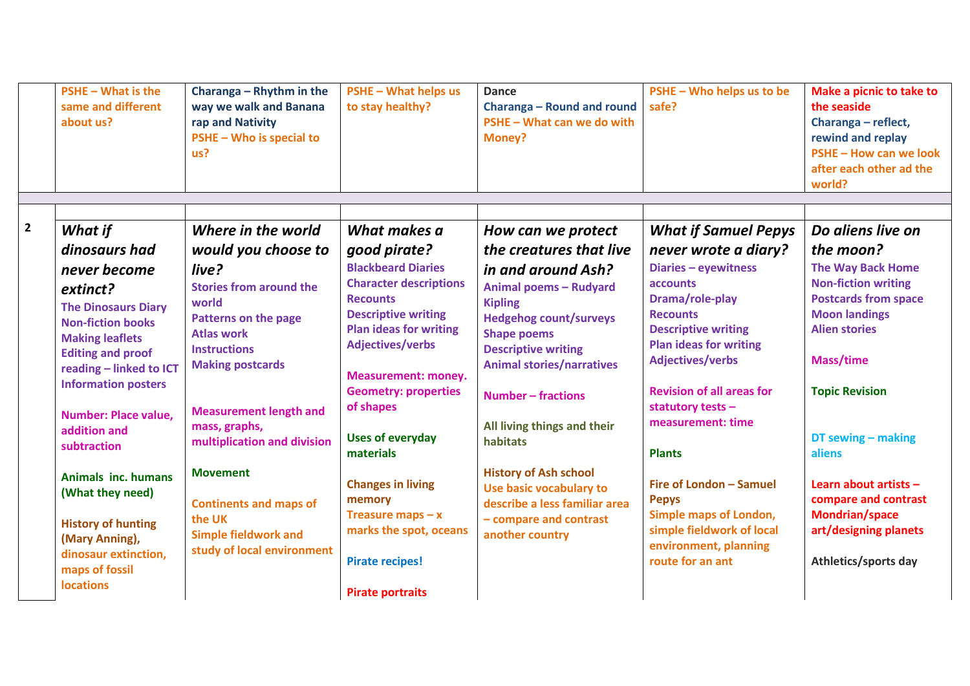|                | $PSHE - What is the$<br>same and different<br>about us? | Charanga - Rhythm in the<br>way we walk and Banana<br>rap and Nativity<br>PSHE - Who is special to<br>us? | <b>PSHE - What helps us</b><br>to stay healthy?          | <b>Dance</b><br><b>Charanga - Round and round</b><br>PSHE - What can we do with<br><b>Money?</b> | PSHE - Who helps us to be<br>safe?                          | Make a picnic to take to<br>the seaside<br>Charanga - reflect,<br>rewind and replay<br>PSHE - How can we look<br>after each other ad the<br>world? |
|----------------|---------------------------------------------------------|-----------------------------------------------------------------------------------------------------------|----------------------------------------------------------|--------------------------------------------------------------------------------------------------|-------------------------------------------------------------|----------------------------------------------------------------------------------------------------------------------------------------------------|
|                |                                                         |                                                                                                           |                                                          |                                                                                                  |                                                             |                                                                                                                                                    |
| $\overline{2}$ | What if                                                 | Where in the world                                                                                        | What makes a                                             | How can we protect                                                                               | <b>What if Samuel Pepys</b>                                 | Do aliens live on                                                                                                                                  |
|                | dinosaurs had                                           | would you choose to                                                                                       | good pirate?                                             | the creatures that live                                                                          | never wrote a diary?                                        | the moon?                                                                                                                                          |
|                | never become                                            | live?                                                                                                     | <b>Blackbeard Diaries</b>                                | in and around Ash?                                                                               | Diaries - eyewitness                                        | <b>The Way Back Home</b>                                                                                                                           |
|                | extinct?                                                | <b>Stories from around the</b>                                                                            | <b>Character descriptions</b>                            | Animal poems - Rudyard                                                                           | <b>accounts</b>                                             | <b>Non-fiction writing</b>                                                                                                                         |
|                | <b>The Dinosaurs Diary</b>                              | world                                                                                                     | <b>Recounts</b>                                          | <b>Kipling</b>                                                                                   | Drama/role-play                                             | <b>Postcards from space</b>                                                                                                                        |
|                | <b>Non-fiction books</b>                                | Patterns on the page                                                                                      | <b>Descriptive writing</b>                               | <b>Hedgehog count/surveys</b>                                                                    | <b>Recounts</b>                                             | <b>Moon landings</b>                                                                                                                               |
|                | <b>Making leaflets</b>                                  | <b>Atlas work</b>                                                                                         | <b>Plan ideas for writing</b><br><b>Adjectives/verbs</b> | <b>Shape poems</b>                                                                               | <b>Descriptive writing</b><br><b>Plan ideas for writing</b> | <b>Alien stories</b>                                                                                                                               |
|                | <b>Editing and proof</b>                                | <b>Instructions</b>                                                                                       |                                                          | <b>Descriptive writing</b>                                                                       | <b>Adjectives/verbs</b>                                     | <b>Mass/time</b>                                                                                                                                   |
|                | reading - linked to ICT                                 | <b>Making postcards</b>                                                                                   | <b>Measurement: money.</b>                               | <b>Animal stories/narratives</b>                                                                 |                                                             |                                                                                                                                                    |
|                | <b>Information posters</b>                              |                                                                                                           | <b>Geometry: properties</b>                              | <b>Number - fractions</b>                                                                        | <b>Revision of all areas for</b>                            | <b>Topic Revision</b>                                                                                                                              |
|                | <b>Number: Place value,</b>                             | <b>Measurement length and</b>                                                                             | of shapes                                                |                                                                                                  | statutory tests -                                           |                                                                                                                                                    |
|                | addition and                                            | mass, graphs,                                                                                             |                                                          | All living things and their                                                                      | measurement: time                                           |                                                                                                                                                    |
|                | subtraction                                             | multiplication and division                                                                               | <b>Uses of everyday</b>                                  | habitats                                                                                         |                                                             | DT sewing $-$ making                                                                                                                               |
|                |                                                         |                                                                                                           | materials                                                |                                                                                                  | <b>Plants</b>                                               | aliens                                                                                                                                             |
|                | Animals inc. humans                                     | <b>Movement</b>                                                                                           | <b>Changes in living</b>                                 | <b>History of Ash school</b>                                                                     | Fire of London - Samuel                                     | Learn about artists $-$                                                                                                                            |
|                | (What they need)                                        | <b>Continents and maps of</b>                                                                             | memory                                                   | Use basic vocabulary to<br>describe a less familiar area                                         | <b>Pepys</b>                                                | compare and contrast                                                                                                                               |
|                |                                                         | the UK                                                                                                    | Treasure maps $-x$                                       | - compare and contrast                                                                           | Simple maps of London,                                      | <b>Mondrian/space</b>                                                                                                                              |
|                | <b>History of hunting</b><br>(Mary Anning),             | <b>Simple fieldwork and</b>                                                                               | marks the spot, oceans                                   | another country                                                                                  | simple fieldwork of local                                   | art/designing planets                                                                                                                              |
|                | dinosaur extinction,                                    | study of local environment                                                                                |                                                          |                                                                                                  | environment, planning                                       |                                                                                                                                                    |
|                | maps of fossil                                          |                                                                                                           | <b>Pirate recipes!</b>                                   |                                                                                                  | route for an ant                                            | Athletics/sports day                                                                                                                               |
|                | <b>locations</b>                                        |                                                                                                           | <b>Pirate portraits</b>                                  |                                                                                                  |                                                             |                                                                                                                                                    |
|                |                                                         |                                                                                                           |                                                          |                                                                                                  |                                                             |                                                                                                                                                    |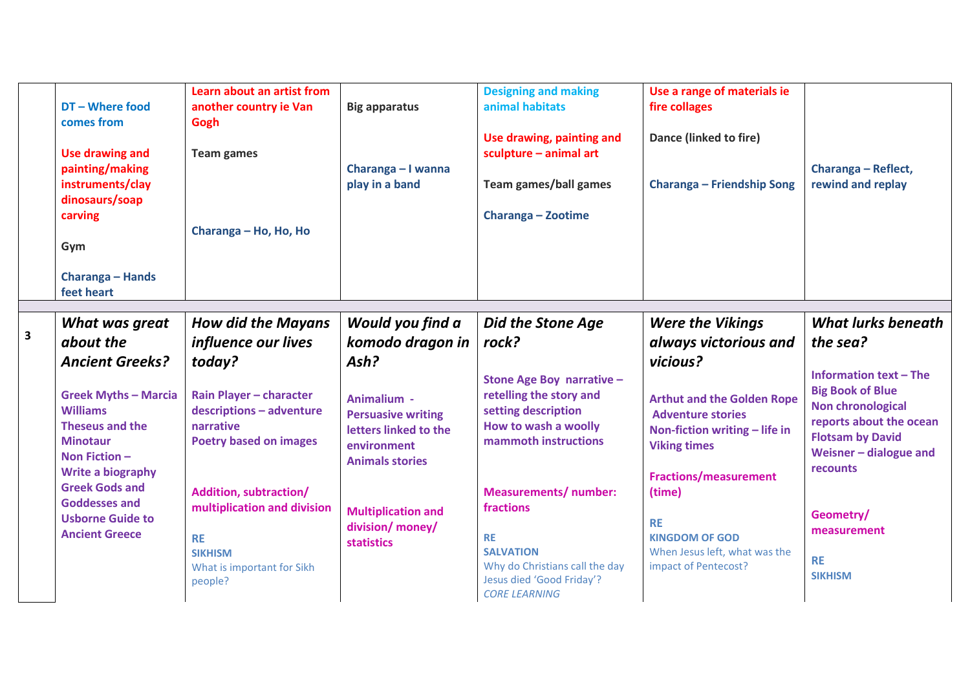|                         |                             | Learn about an artist from    |                           | <b>Designing and making</b>    | Use a range of materials ie       |                               |
|-------------------------|-----------------------------|-------------------------------|---------------------------|--------------------------------|-----------------------------------|-------------------------------|
|                         | DT - Where food             | another country ie Van        | <b>Big apparatus</b>      | animal habitats                | fire collages                     |                               |
|                         | comes from                  | Gogh                          |                           |                                |                                   |                               |
|                         |                             |                               |                           | Use drawing, painting and      | Dance (linked to fire)            |                               |
|                         |                             |                               |                           |                                |                                   |                               |
|                         | <b>Use drawing and</b>      | <b>Team games</b>             |                           | sculpture - animal art         |                                   |                               |
|                         | painting/making             |                               | Charanga - I wanna        |                                |                                   | Charanga - Reflect,           |
|                         | instruments/clay            |                               | play in a band            | Team games/ball games          | <b>Charanga - Friendship Song</b> | rewind and replay             |
|                         | dinosaurs/soap              |                               |                           |                                |                                   |                               |
|                         | carving                     |                               |                           | Charanga - Zootime             |                                   |                               |
|                         |                             | Charanga - Ho, Ho, Ho         |                           |                                |                                   |                               |
|                         |                             |                               |                           |                                |                                   |                               |
|                         | Gym                         |                               |                           |                                |                                   |                               |
|                         |                             |                               |                           |                                |                                   |                               |
|                         | Charanga - Hands            |                               |                           |                                |                                   |                               |
|                         | feet heart                  |                               |                           |                                |                                   |                               |
|                         |                             |                               |                           |                                |                                   |                               |
|                         | What was great              | <b>How did the Mayans</b>     | Would you find a          | <b>Did the Stone Age</b>       | <b>Were the Vikings</b>           | <b>What lurks beneath</b>     |
| $\overline{\mathbf{3}}$ | about the                   | influence our lives           | komodo dragon in          | rock?                          | always victorious and             | the sea?                      |
|                         | <b>Ancient Greeks?</b>      | today?                        | Ash?                      |                                | vicious?                          |                               |
|                         |                             |                               |                           |                                |                                   | <b>Information text - The</b> |
|                         |                             |                               |                           | Stone Age Boy narrative -      |                                   |                               |
|                         | <b>Greek Myths - Marcia</b> | Rain Player - character       | Animalium -               | retelling the story and        | <b>Arthut and the Golden Rope</b> | <b>Big Book of Blue</b>       |
|                         | <b>Williams</b>             | descriptions - adventure      | <b>Persuasive writing</b> | setting description            | <b>Adventure stories</b>          | <b>Non chronological</b>      |
|                         | Theseus and the             | narrative                     | letters linked to the     | How to wash a woolly           | Non-fiction writing - life in     | reports about the ocean       |
|                         | <b>Minotaur</b>             | <b>Poetry based on images</b> |                           | mammoth instructions           |                                   | <b>Flotsam by David</b>       |
|                         | Non Fiction $-$             |                               | environment               |                                | <b>Viking times</b>               | Weisner $-$ dialogue and      |
|                         |                             |                               | <b>Animals stories</b>    |                                |                                   | recounts                      |
|                         | <b>Write a biography</b>    |                               |                           |                                | <b>Fractions/measurement</b>      |                               |
|                         | <b>Greek Gods and</b>       | Addition, subtraction/        |                           | <b>Measurements/number:</b>    | (time)                            |                               |
|                         | <b>Goddesses and</b>        | multiplication and division   | <b>Multiplication and</b> | fractions                      |                                   |                               |
|                         | <b>Usborne Guide to</b>     |                               |                           |                                | <b>RE</b>                         | Geometry/                     |
|                         | <b>Ancient Greece</b>       | <b>RE</b>                     | division/ money/          | <b>RE</b>                      | <b>KINGDOM OF GOD</b>             | measurement                   |
|                         |                             | <b>SIKHISM</b>                | statistics                | <b>SALVATION</b>               | When Jesus left, what was the     |                               |
|                         |                             |                               |                           | Why do Christians call the day | impact of Pentecost?              | <b>RE</b>                     |
|                         |                             | What is important for Sikh    |                           | Jesus died 'Good Friday'?      |                                   | <b>SIKHISM</b>                |
|                         |                             | people?                       |                           |                                |                                   |                               |
|                         |                             |                               |                           | <b>CORE LEARNING</b>           |                                   |                               |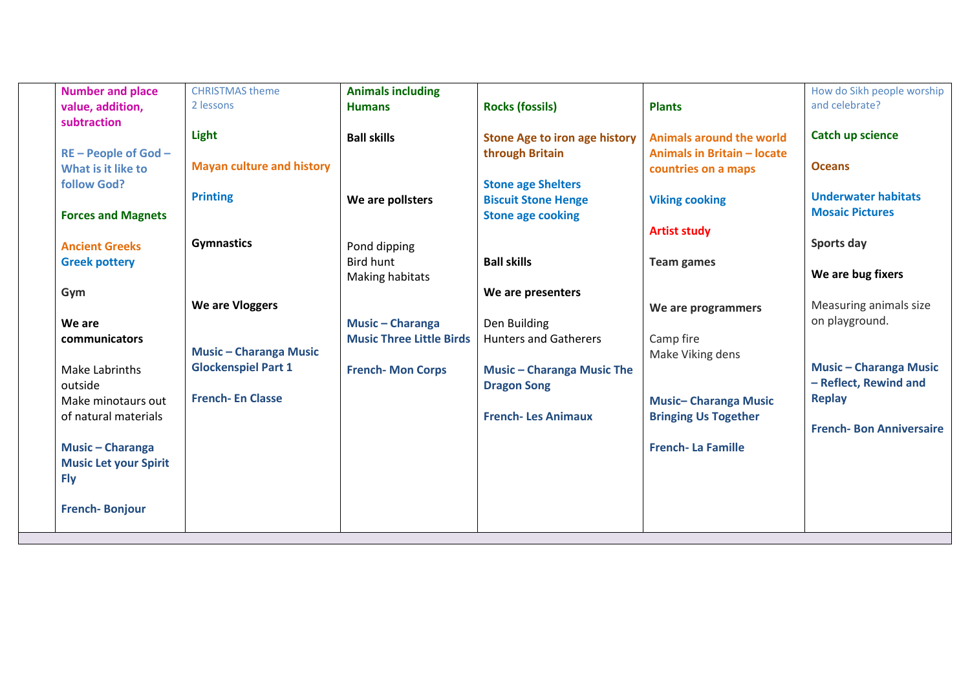| <b>Number and place</b>      | <b>CHRISTMAS theme</b>           | <b>Animals including</b>        |                                      |                                    | How do Sikh people worship     |
|------------------------------|----------------------------------|---------------------------------|--------------------------------------|------------------------------------|--------------------------------|
| value, addition,             | 2 lessons                        | <b>Humans</b>                   | <b>Rocks (fossils)</b>               | <b>Plants</b>                      | and celebrate?                 |
| subtraction                  |                                  |                                 |                                      |                                    |                                |
|                              | Light                            | <b>Ball skills</b>              | <b>Stone Age to iron age history</b> | <b>Animals around the world</b>    | <b>Catch up science</b>        |
| RE - People of God -         |                                  |                                 | through Britain                      | <b>Animals in Britain - locate</b> |                                |
| What is it like to           | <b>Mayan culture and history</b> |                                 |                                      | countries on a maps                | <b>Oceans</b>                  |
| follow God?                  |                                  |                                 | <b>Stone age Shelters</b>            |                                    |                                |
|                              | <b>Printing</b>                  | We are pollsters                | <b>Biscuit Stone Henge</b>           | <b>Viking cooking</b>              | <b>Underwater habitats</b>     |
| <b>Forces and Magnets</b>    |                                  |                                 | <b>Stone age cooking</b>             |                                    | <b>Mosaic Pictures</b>         |
|                              |                                  |                                 |                                      | <b>Artist study</b>                |                                |
| <b>Ancient Greeks</b>        | <b>Gymnastics</b>                | Pond dipping                    |                                      |                                    | Sports day                     |
| <b>Greek pottery</b>         |                                  | <b>Bird hunt</b>                | <b>Ball skills</b>                   | <b>Team games</b>                  |                                |
|                              |                                  | Making habitats                 |                                      |                                    | We are bug fixers              |
| Gym                          |                                  |                                 | We are presenters                    |                                    |                                |
|                              | We are Vloggers                  |                                 |                                      | We are programmers                 | Measuring animals size         |
| We are                       |                                  | <b>Music - Charanga</b>         | Den Building                         |                                    | on playground.                 |
| communicators                |                                  | <b>Music Three Little Birds</b> | <b>Hunters and Gatherers</b>         | Camp fire                          |                                |
|                              | <b>Music - Charanga Music</b>    |                                 |                                      | Make Viking dens                   | <b>Music - Charanga Music</b>  |
| Make Labrinths               | <b>Glockenspiel Part 1</b>       | <b>French-Mon Corps</b>         | <b>Music - Charanga Music The</b>    |                                    | - Reflect, Rewind and          |
| outside                      | <b>French-En Classe</b>          |                                 | <b>Dragon Song</b>                   |                                    | <b>Replay</b>                  |
| Make minotaurs out           |                                  |                                 |                                      | <b>Music-Charanga Music</b>        |                                |
| of natural materials         |                                  |                                 | <b>French-Les Animaux</b>            | <b>Bringing Us Together</b>        | <b>French-Bon Anniversaire</b> |
|                              |                                  |                                 |                                      | <b>French-La Famille</b>           |                                |
| <b>Music - Charanga</b>      |                                  |                                 |                                      |                                    |                                |
| <b>Music Let your Spirit</b> |                                  |                                 |                                      |                                    |                                |
| <b>Fly</b>                   |                                  |                                 |                                      |                                    |                                |
| <b>French-Bonjour</b>        |                                  |                                 |                                      |                                    |                                |
|                              |                                  |                                 |                                      |                                    |                                |
|                              |                                  |                                 |                                      |                                    |                                |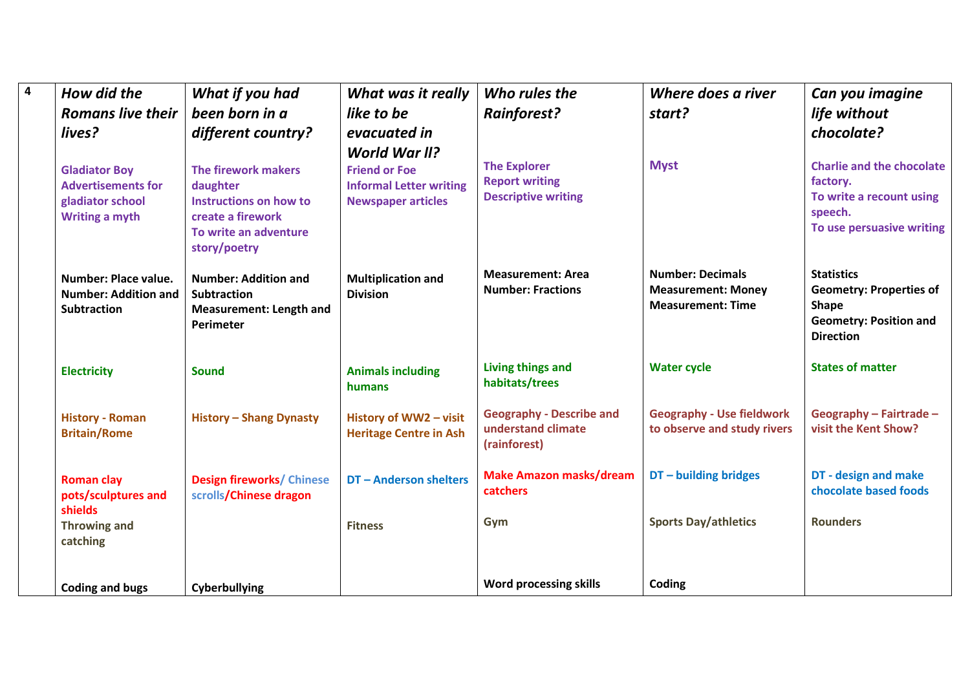| $\overline{\mathbf{4}}$ | How did the                                                                                    | What if you had                                                                                                         | What was it really                                                                                          | Who rules the                                                              | Where does a river                                                               | Can you imagine                                                                                                          |
|-------------------------|------------------------------------------------------------------------------------------------|-------------------------------------------------------------------------------------------------------------------------|-------------------------------------------------------------------------------------------------------------|----------------------------------------------------------------------------|----------------------------------------------------------------------------------|--------------------------------------------------------------------------------------------------------------------------|
|                         | <b>Romans live their</b>                                                                       | been born in a                                                                                                          | like to be                                                                                                  | <b>Rainforest?</b>                                                         | start?                                                                           | life without                                                                                                             |
|                         | lives?                                                                                         | different country?                                                                                                      | evacuated in                                                                                                |                                                                            |                                                                                  | chocolate?                                                                                                               |
|                         | <b>Gladiator Boy</b><br><b>Advertisements for</b><br>gladiator school<br><b>Writing a myth</b> | The firework makers<br>daughter<br>Instructions on how to<br>create a firework<br>To write an adventure<br>story/poetry | <b>World War II?</b><br><b>Friend or Foe</b><br><b>Informal Letter writing</b><br><b>Newspaper articles</b> | <b>The Explorer</b><br><b>Report writing</b><br><b>Descriptive writing</b> | <b>Myst</b>                                                                      | <b>Charlie and the chocolate</b><br>factory.<br>To write a recount using<br>speech.<br>To use persuasive writing         |
|                         | <b>Number: Place value.</b><br><b>Number: Addition and</b><br><b>Subtraction</b>               | <b>Number: Addition and</b><br><b>Subtraction</b><br><b>Measurement: Length and</b><br>Perimeter                        | <b>Multiplication and</b><br><b>Division</b>                                                                | <b>Measurement: Area</b><br><b>Number: Fractions</b>                       | <b>Number: Decimals</b><br><b>Measurement: Money</b><br><b>Measurement: Time</b> | <b>Statistics</b><br><b>Geometry: Properties of</b><br><b>Shape</b><br><b>Geometry: Position and</b><br><b>Direction</b> |
|                         | <b>Electricity</b>                                                                             | Sound                                                                                                                   | <b>Animals including</b><br>humans                                                                          | <b>Living things and</b><br>habitats/trees                                 | <b>Water cycle</b>                                                               | <b>States of matter</b>                                                                                                  |
|                         | <b>History - Roman</b><br><b>Britain/Rome</b>                                                  | <b>History - Shang Dynasty</b>                                                                                          | History of WW2 - visit<br><b>Heritage Centre in Ash</b>                                                     | <b>Geography - Describe and</b><br>understand climate<br>(rainforest)      | <b>Geography - Use fieldwork</b><br>to observe and study rivers                  | Geography - Fairtrade -<br>visit the Kent Show?                                                                          |
|                         | <b>Roman clay</b><br>pots/sculptures and<br>shields                                            | <b>Design fireworks/ Chinese</b><br>scrolls/Chinese dragon                                                              | DT - Anderson shelters                                                                                      | <b>Make Amazon masks/dream</b><br>catchers                                 | DT - building bridges                                                            | DT - design and make<br>chocolate based foods                                                                            |
|                         | <b>Throwing and</b><br>catching                                                                |                                                                                                                         | <b>Fitness</b>                                                                                              | Gym                                                                        | <b>Sports Day/athletics</b>                                                      | <b>Rounders</b>                                                                                                          |
|                         | <b>Coding and bugs</b>                                                                         | Cyberbullying                                                                                                           |                                                                                                             | <b>Word processing skills</b>                                              | Coding                                                                           |                                                                                                                          |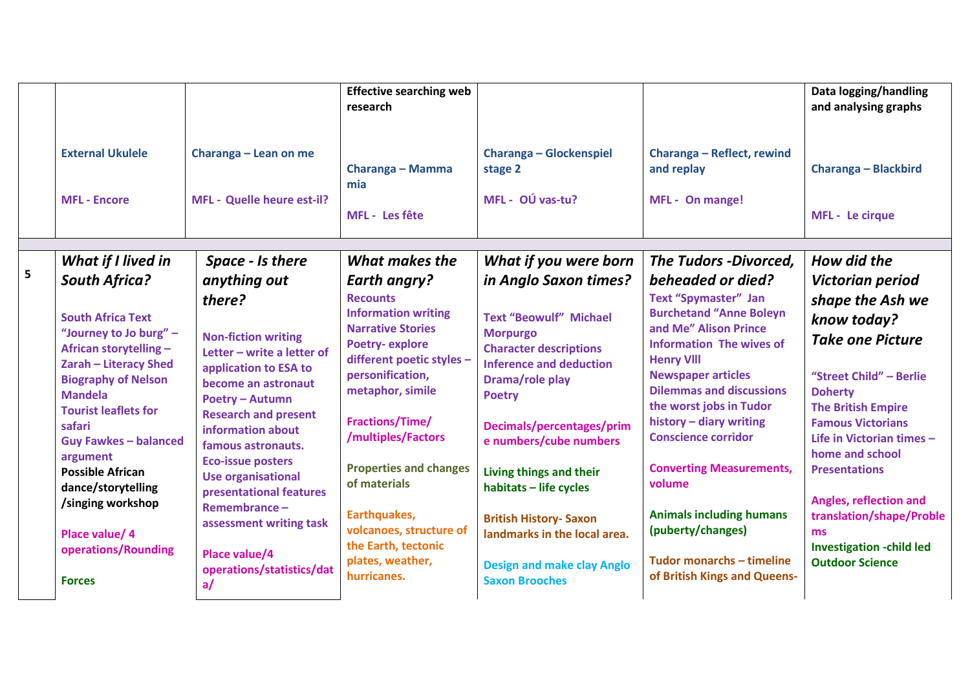|                         |                                                                                                                                                                                                                                                                                                                  |                                                                                                                                                                                                                                                                                                                                                        | <b>Effective searching web</b><br>research                                                                                                                                                                                                                                        |                                                                                                                                                                                                                                                                                                      |                                                                                                                                                                                                                                                                                                                                                                                    | Data logging/handling<br>and analysing graphs                                                                                                                                                                                                                                                         |
|-------------------------|------------------------------------------------------------------------------------------------------------------------------------------------------------------------------------------------------------------------------------------------------------------------------------------------------------------|--------------------------------------------------------------------------------------------------------------------------------------------------------------------------------------------------------------------------------------------------------------------------------------------------------------------------------------------------------|-----------------------------------------------------------------------------------------------------------------------------------------------------------------------------------------------------------------------------------------------------------------------------------|------------------------------------------------------------------------------------------------------------------------------------------------------------------------------------------------------------------------------------------------------------------------------------------------------|------------------------------------------------------------------------------------------------------------------------------------------------------------------------------------------------------------------------------------------------------------------------------------------------------------------------------------------------------------------------------------|-------------------------------------------------------------------------------------------------------------------------------------------------------------------------------------------------------------------------------------------------------------------------------------------------------|
|                         | <b>External Ukulele</b><br><b>MFL - Encore</b>                                                                                                                                                                                                                                                                   | Charanga - Lean on me<br>MFL - Quelle heure est-il?                                                                                                                                                                                                                                                                                                    | Charanga - Mamma<br>mia<br>MFL - Les fête                                                                                                                                                                                                                                         | <b>Charanga - Glockenspiel</b><br>stage 2<br>MFL - OÚ vas-tu?                                                                                                                                                                                                                                        | Charanga - Reflect, rewind<br>and replay<br>MFL - On mange!                                                                                                                                                                                                                                                                                                                        | Charanga - Blackbird<br>MFL - Le cirque                                                                                                                                                                                                                                                               |
|                         | What if I lived in                                                                                                                                                                                                                                                                                               | Space - Is there                                                                                                                                                                                                                                                                                                                                       | What makes the                                                                                                                                                                                                                                                                    | What if you were born                                                                                                                                                                                                                                                                                | <b>The Tudors -Divorced,</b>                                                                                                                                                                                                                                                                                                                                                       | How did the                                                                                                                                                                                                                                                                                           |
| $\overline{\mathbf{5}}$ | <b>South Africa?</b>                                                                                                                                                                                                                                                                                             | anything out                                                                                                                                                                                                                                                                                                                                           | <b>Earth angry?</b>                                                                                                                                                                                                                                                               | in Anglo Saxon times?                                                                                                                                                                                                                                                                                | beheaded or died?                                                                                                                                                                                                                                                                                                                                                                  | Victorian period                                                                                                                                                                                                                                                                                      |
|                         | <b>South Africa Text</b><br>"Journey to Jo burg" -<br>African storytelling -<br>Zarah - Literacy Shed<br><b>Biography of Nelson</b><br><b>Mandela</b><br><b>Tourist leaflets for</b><br>safari<br><b>Guy Fawkes - balanced</b><br>argument<br><b>Possible African</b><br>dance/storytelling<br>/singing workshop | there?<br><b>Non-fiction writing</b><br>Letter - write a letter of<br>application to ESA to<br>become an astronaut<br><b>Poetry - Autumn</b><br><b>Research and present</b><br>information about<br>famous astronauts.<br><b>Eco-issue posters</b><br><b>Use organisational</b><br>presentational features<br>Remembrance -<br>assessment writing task | <b>Recounts</b><br><b>Information writing</b><br><b>Narrative Stories</b><br><b>Poetry-explore</b><br>different poetic styles -<br>personification,<br>metaphor, simile<br>Fractions/Time/<br>/multiples/Factors<br><b>Properties and changes</b><br>of materials<br>Earthquakes, | <b>Text "Beowulf" Michael</b><br><b>Morpurgo</b><br><b>Character descriptions</b><br><b>Inference and deduction</b><br>Drama/role play<br><b>Poetry</b><br>Decimals/percentages/prim<br>e numbers/cube numbers<br>Living things and their<br>habitats - life cycles<br><b>British History- Saxon</b> | <b>Text "Spymaster" Jan</b><br><b>Burchetand "Anne Boleyn</b><br>and Me" Alison Prince<br><b>Information The wives of</b><br><b>Henry VIII</b><br><b>Newspaper articles</b><br><b>Dilemmas and discussions</b><br>the worst jobs in Tudor<br>history - diary writing<br><b>Conscience corridor</b><br><b>Converting Measurements,</b><br>volume<br><b>Animals including humans</b> | shape the Ash we<br>know today?<br><b>Take one Picture</b><br>"Street Child" - Berlie<br><b>Doherty</b><br><b>The British Empire</b><br><b>Famous Victorians</b><br>Life in Victorian times -<br>home and school<br><b>Presentations</b><br><b>Angles, reflection and</b><br>translation/shape/Proble |
|                         | Place value/ 4<br>operations/Rounding<br><b>Forces</b>                                                                                                                                                                                                                                                           | Place value/4<br>operations/statistics/dat<br>a/                                                                                                                                                                                                                                                                                                       | volcanoes, structure of<br>the Earth, tectonic<br>plates, weather,<br>hurricanes.                                                                                                                                                                                                 | landmarks in the local area.<br><b>Design and make clay Anglo</b><br><b>Saxon Brooches</b>                                                                                                                                                                                                           | (puberty/changes)<br>Tudor monarchs - timeline<br>of British Kings and Queens-                                                                                                                                                                                                                                                                                                     | <b>ms</b><br><b>Investigation -child led</b><br><b>Outdoor Science</b>                                                                                                                                                                                                                                |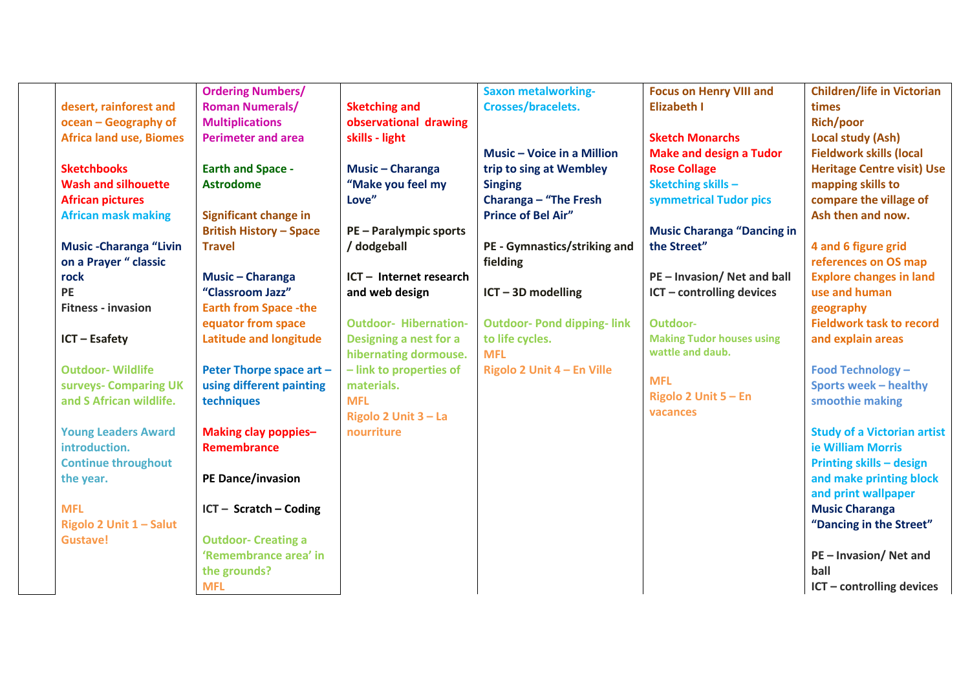|                                | <b>Ordering Numbers/</b>       |                              | <b>Saxon metalworking-</b>        | <b>Focus on Henry VIII and</b>           | <b>Children/life in Victorian</b>  |
|--------------------------------|--------------------------------|------------------------------|-----------------------------------|------------------------------------------|------------------------------------|
| desert, rainforest and         | <b>Roman Numerals/</b>         | <b>Sketching and</b>         | <b>Crosses/bracelets.</b>         | <b>Elizabeth I</b>                       | times                              |
| ocean - Geography of           | <b>Multiplications</b>         | observational drawing        |                                   |                                          | <b>Rich/poor</b>                   |
| <b>Africa land use, Biomes</b> | <b>Perimeter and area</b>      | skills - light               |                                   | <b>Sketch Monarchs</b>                   | Local study (Ash)                  |
|                                |                                |                              | Music - Voice in a Million        | <b>Make and design a Tudor</b>           | <b>Fieldwork skills (local</b>     |
| <b>Sketchbooks</b>             | <b>Earth and Space -</b>       | <b>Music - Charanga</b>      | trip to sing at Wembley           | <b>Rose Collage</b>                      | <b>Heritage Centre visit) Use</b>  |
| <b>Wash and silhouette</b>     | <b>Astrodome</b>               | "Make you feel my            | <b>Singing</b>                    | <b>Sketching skills -</b>                | mapping skills to                  |
| <b>African pictures</b>        |                                | Love"                        | Charanga - "The Fresh             | symmetrical Tudor pics                   | compare the village of             |
| <b>African mask making</b>     | <b>Significant change in</b>   |                              | <b>Prince of Bel Air"</b>         |                                          | Ash then and now.                  |
|                                | <b>British History - Space</b> | <b>PE-Paralympic sports</b>  |                                   | <b>Music Charanga "Dancing in</b>        |                                    |
| <b>Music-Charanga "Livin</b>   | <b>Travel</b>                  | / dodgeball                  | PE - Gymnastics/striking and      | the Street"                              | 4 and 6 figure grid                |
| on a Prayer " classic          |                                |                              | fielding                          |                                          | references on OS map               |
| rock                           | Music - Charanga               | ICT - Internet research      |                                   | PE - Invasion/ Net and ball              | <b>Explore changes in land</b>     |
| PE                             | "Classroom Jazz"               | and web design               | $ICT - 3D$ modelling              | ICT - controlling devices                | use and human                      |
| <b>Fitness - invasion</b>      | <b>Earth from Space -the</b>   |                              |                                   |                                          | geography                          |
|                                | equator from space             | <b>Outdoor- Hibernation-</b> | <b>Outdoor- Pond dipping-link</b> | Outdoor-                                 | <b>Fieldwork task to record</b>    |
| ICT - Esafety                  | <b>Latitude and longitude</b>  | Designing a nest for a       | to life cycles.                   | <b>Making Tudor houses using</b>         | and explain areas                  |
|                                |                                | hibernating dormouse.        | <b>MFL</b>                        | wattle and daub.                         |                                    |
| <b>Outdoor-Wildlife</b>        | Peter Thorpe space art -       | - link to properties of      | Rigolo 2 Unit 4 - En Ville        |                                          | <b>Food Technology -</b>           |
| surveys- Comparing UK          | using different painting       | materials.                   |                                   | <b>MFL</b>                               | <b>Sports week - healthy</b>       |
| and S African wildlife.        | techniques                     | <b>MFL</b>                   |                                   | <b>Rigolo 2 Unit <math>5 - En</math></b> | smoothie making                    |
|                                |                                | Rigolo 2 Unit 3 - La         |                                   | vacances                                 |                                    |
| <b>Young Leaders Award</b>     | <b>Making clay poppies-</b>    | nourriture                   |                                   |                                          | <b>Study of a Victorian artist</b> |
| introduction.                  | <b>Remembrance</b>             |                              |                                   |                                          | ie William Morris                  |
| <b>Continue throughout</b>     |                                |                              |                                   |                                          | <b>Printing skills - design</b>    |
| the year.                      | <b>PE Dance/invasion</b>       |                              |                                   |                                          | and make printing block            |
|                                |                                |                              |                                   |                                          | and print wallpaper                |
| <b>MFL</b>                     | $ICT - Scratch - Coding$       |                              |                                   |                                          | <b>Music Charanga</b>              |
| Rigolo 2 Unit 1 - Salut        |                                |                              |                                   |                                          | "Dancing in the Street"            |
| <b>Gustave!</b>                | <b>Outdoor- Creating a</b>     |                              |                                   |                                          |                                    |
|                                | 'Remembrance area' in          |                              |                                   |                                          | PE-Invasion/Net and                |
|                                | the grounds?                   |                              |                                   |                                          | ball                               |
|                                | <b>MFL</b>                     |                              |                                   |                                          | ICT - controlling devices          |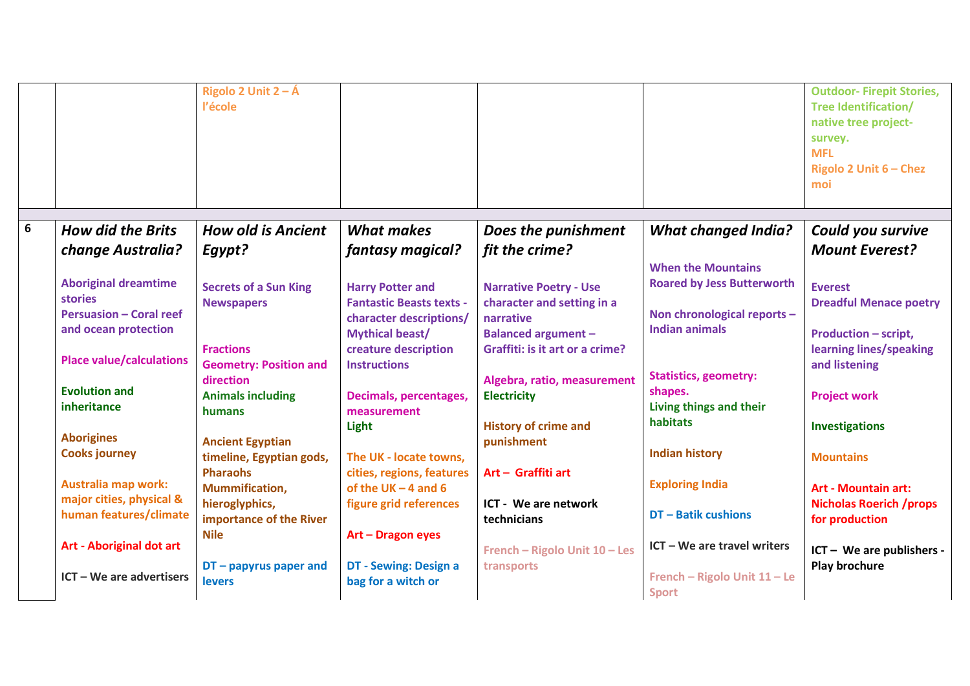|   |                                                                                                                                                                    | Rigolo 2 Unit $2 - \hat{A}$<br>l'école                                                                              |                                                                                                                                                                |                                                                                                                                                                          |                                                                                                                                                                   | <b>Outdoor-Firepit Stories,</b><br><b>Tree Identification/</b><br>native tree project-<br>survey.<br><b>MFL</b><br>Rigolo 2 Unit 6 - Chez |
|---|--------------------------------------------------------------------------------------------------------------------------------------------------------------------|---------------------------------------------------------------------------------------------------------------------|----------------------------------------------------------------------------------------------------------------------------------------------------------------|--------------------------------------------------------------------------------------------------------------------------------------------------------------------------|-------------------------------------------------------------------------------------------------------------------------------------------------------------------|-------------------------------------------------------------------------------------------------------------------------------------------|
|   |                                                                                                                                                                    |                                                                                                                     |                                                                                                                                                                |                                                                                                                                                                          |                                                                                                                                                                   | moi                                                                                                                                       |
| 6 |                                                                                                                                                                    |                                                                                                                     |                                                                                                                                                                |                                                                                                                                                                          |                                                                                                                                                                   |                                                                                                                                           |
|   | <b>How did the Brits</b>                                                                                                                                           | <b>How old is Ancient</b>                                                                                           | <b>What makes</b>                                                                                                                                              | Does the punishment                                                                                                                                                      | <b>What changed India?</b>                                                                                                                                        | Could you survive                                                                                                                         |
|   | <b>change Australia?</b>                                                                                                                                           | Egypt?                                                                                                              | fantasy magical?                                                                                                                                               | fit the crime?                                                                                                                                                           |                                                                                                                                                                   | <b>Mount Everest?</b>                                                                                                                     |
|   | <b>Aboriginal dreamtime</b><br><b>stories</b><br><b>Persuasion - Coral reef</b><br>and ocean protection<br><b>Place value/calculations</b><br><b>Evolution and</b> | <b>Secrets of a Sun King</b><br><b>Newspapers</b><br><b>Fractions</b><br><b>Geometry: Position and</b><br>direction | <b>Harry Potter and</b><br><b>Fantastic Beasts texts -</b><br>character descriptions/<br><b>Mythical beast/</b><br>creature description<br><b>Instructions</b> | <b>Narrative Poetry - Use</b><br>character and setting in a<br>narrative<br><b>Balanced argument -</b><br>Graffiti: is it art or a crime?<br>Algebra, ratio, measurement | <b>When the Mountains</b><br><b>Roared by Jess Butterworth</b><br>Non chronological reports -<br><b>Indian animals</b><br><b>Statistics, geometry:</b><br>shapes. | <b>Everest</b><br><b>Dreadful Menace poetry</b><br><b>Production - script,</b><br>learning lines/speaking<br>and listening                |
|   | inheritance                                                                                                                                                        | <b>Animals including</b><br>humans                                                                                  | Decimals, percentages,<br>measurement                                                                                                                          | <b>Electricity</b>                                                                                                                                                       | Living things and their                                                                                                                                           | <b>Project work</b>                                                                                                                       |
|   |                                                                                                                                                                    |                                                                                                                     | Light                                                                                                                                                          | <b>History of crime and</b>                                                                                                                                              | habitats                                                                                                                                                          | <b>Investigations</b>                                                                                                                     |
|   | <b>Aborigines</b><br><b>Cooks journey</b>                                                                                                                          | <b>Ancient Egyptian</b><br>timeline, Egyptian gods,<br><b>Pharaohs</b>                                              | The UK - locate towns,<br>cities, regions, features                                                                                                            | punishment<br>Art - Graffiti art                                                                                                                                         | <b>Indian history</b>                                                                                                                                             | <b>Mountains</b>                                                                                                                          |
|   | <b>Australia map work:</b><br>major cities, physical &<br>human features/climate                                                                                   | <b>Mummification,</b><br>hieroglyphics,<br>importance of the River                                                  | of the UK $-$ 4 and 6<br>figure grid references                                                                                                                | ICT - We are network<br>technicians                                                                                                                                      | <b>Exploring India</b><br><b>DT-Batik cushions</b>                                                                                                                | <b>Art - Mountain art:</b><br><b>Nicholas Roerich /props</b><br>for production                                                            |
|   | <b>Art - Aboriginal dot art</b>                                                                                                                                    | <b>Nile</b>                                                                                                         | Art - Dragon eyes                                                                                                                                              | French - Rigolo Unit 10 - Les                                                                                                                                            | ICT - We are travel writers                                                                                                                                       | ICT - We are publishers -                                                                                                                 |
|   | $ICT - We are advertising$                                                                                                                                         | $DT$ – papyrus paper and<br><b>levers</b>                                                                           | DT - Sewing: Design a<br>bag for a witch or                                                                                                                    | transports                                                                                                                                                               | French - Rigolo Unit 11 - Le<br><b>Sport</b>                                                                                                                      | Play brochure                                                                                                                             |